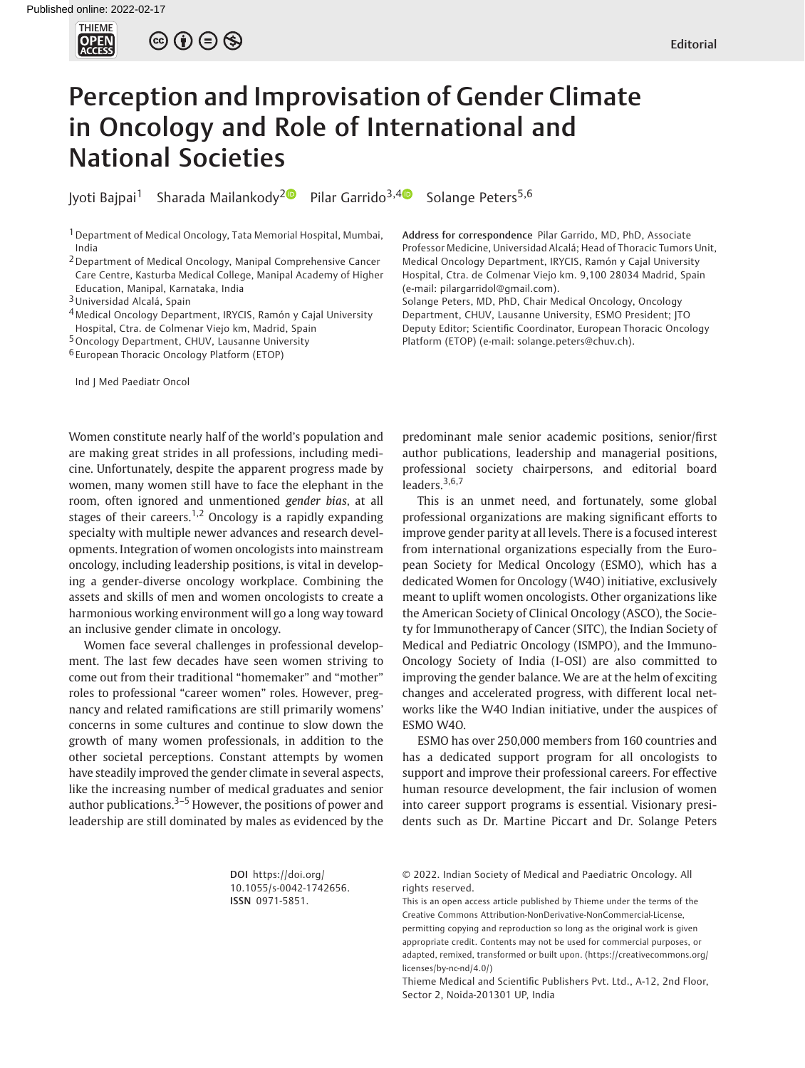

 $\circledcirc \circledcirc \circledcirc$ 

# Perception and Improvisation of Gender Climate in Oncology and Role of International and National Societies

Iyoti Bajpai<sup>1</sup> Sharada Mailankody<sup>[2](https://orcid.org/0000-0003-2003-426X)</sup><sup>0</sup> Pilar Garrido<sup>3,[4](https://orcid.org/0000-0002-5899-6125)</sup><sup>0</sup> Solange Peters<sup>5,6</sup>

1Department of Medical Oncology, Tata Memorial Hospital, Mumbai, India

2Department of Medical Oncology, Manipal Comprehensive Cancer Care Centre, Kasturba Medical College, Manipal Academy of Higher

Education, Manipal, Karnataka, India

3Universidad Alcalá, Spain

4Medical Oncology Department, IRYCIS, Ramón y Cajal University Hospital, Ctra. de Colmenar Viejo km, Madrid, Spain

5Oncology Department, CHUV, Lausanne University

6 European Thoracic Oncology Platform (ETOP)

Ind J Med Paediatr Oncol

Women constitute nearly half of the world's population and are making great strides in all professions, including medicine. Unfortunately, despite the apparent progress made by women, many women still have to face the elephant in the room, often ignored and unmentioned gender bias, at all stages of their careers.<sup>1,2</sup> Oncology is a rapidly expanding specialty with multiple newer advances and research developments. Integration of women oncologists into mainstream oncology, including leadership positions, is vital in developing a gender-diverse oncology workplace. Combining the assets and skills of men and women oncologists to create a harmonious working environment will go a long way toward an inclusive gender climate in oncology.

Women face several challenges in professional development. The last few decades have seen women striving to come out from their traditional "homemaker" and "mother" roles to professional "career women" roles. However, pregnancy and related ramifications are still primarily womens' concerns in some cultures and continue to slow down the growth of many women professionals, in addition to the other societal perceptions. Constant attempts by women have steadily improved the gender climate in several aspects, like the increasing number of medical graduates and senior author publications. $3-5$  However, the positions of power and leadership are still dominated by males as evidenced by the

> DOI [https://doi.org/](https://doi.org/10.1055/s-0042-1742656) [10.1055/s-0042-1742656](https://doi.org/10.1055/s-0042-1742656). ISSN 0971-5851.

Address for correspondence Pilar Garrido, MD, PhD, Associate Professor Medicine, Universidad Alcalá; Head of Thoracic Tumors Unit, Medical Oncology Department, IRYCIS, Ramón y Cajal University Hospital, Ctra. de Colmenar Viejo km. 9,100 28034 Madrid, Spain (e-mail: [pilargarridol@gmail.com\)](mailto:pilargarridol@gmail.com).

Solange Peters, MD, PhD, Chair Medical Oncology, Oncology Department, CHUV, Lausanne University, ESMO President; JTO Deputy Editor; Scientific Coordinator, European Thoracic Oncology Platform (ETOP) (e-mail: [solange.peters@chuv.ch](mailto:solange.peters@chuv.ch)).

predominant male senior academic positions, senior/first author publications, leadership and managerial positions, professional society chairpersons, and editorial board leaders.<sup>3,6,7</sup>

This is an unmet need, and fortunately, some global professional organizations are making significant efforts to improve gender parity at all levels. There is a focused interest from international organizations especially from the European Society for Medical Oncology (ESMO), which has a dedicated Women for Oncology (W4O) initiative, exclusively meant to uplift women oncologists. Other organizations like the American Society of Clinical Oncology (ASCO), the Society for Immunotherapy of Cancer (SITC), the Indian Society of Medical and Pediatric Oncology (ISMPO), and the Immuno-Oncology Society of India (I-OSI) are also committed to improving the gender balance. We are at the helm of exciting changes and accelerated progress, with different local networks like the W4O Indian initiative, under the auspices of ESMO W4O.

ESMO has over 250,000 members from 160 countries and has a dedicated support program for all oncologists to support and improve their professional careers. For effective human resource development, the fair inclusion of women into career support programs is essential. Visionary presidents such as Dr. Martine Piccart and Dr. Solange Peters

<sup>© 2022.</sup> Indian Society of Medical and Paediatric Oncology. All rights reserved.

This is an open access article published by Thieme under the terms of the Creative Commons Attribution-NonDerivative-NonCommercial-License, permitting copying and reproduction so long as the original work is given appropriate credit. Contents may not be used for commercial purposes, or adapted, remixed, transformed or built upon. (https://creativecommons.org/ licenses/by-nc-nd/4.0/)

Thieme Medical and Scientific Publishers Pvt. Ltd., A-12, 2nd Floor, Sector 2, Noida-201301 UP, India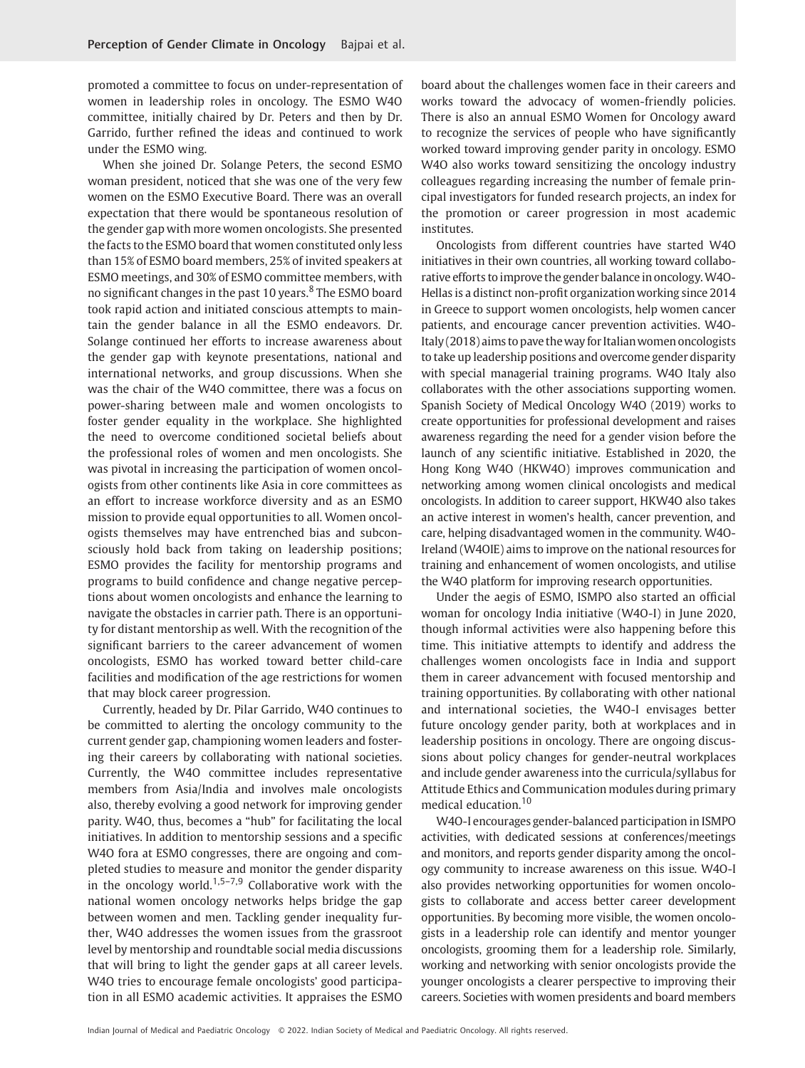promoted a committee to focus on under-representation of women in leadership roles in oncology. The ESMO W4O committee, initially chaired by Dr. Peters and then by Dr. Garrido, further refined the ideas and continued to work under the ESMO wing.

When she joined Dr. Solange Peters, the second ESMO woman president, noticed that she was one of the very few women on the ESMO Executive Board. There was an overall expectation that there would be spontaneous resolution of the gender gap with more women oncologists. She presented the facts to the ESMO board that women constituted only less than 15% of ESMO board members, 25% of invited speakers at ESMO meetings, and 30% of ESMO committee members, with no significant changes in the past 10 years.<sup>8</sup> The ESMO board took rapid action and initiated conscious attempts to maintain the gender balance in all the ESMO endeavors. Dr. Solange continued her efforts to increase awareness about the gender gap with keynote presentations, national and international networks, and group discussions. When she was the chair of the W4O committee, there was a focus on power-sharing between male and women oncologists to foster gender equality in the workplace. She highlighted the need to overcome conditioned societal beliefs about the professional roles of women and men oncologists. She was pivotal in increasing the participation of women oncologists from other continents like Asia in core committees as an effort to increase workforce diversity and as an ESMO mission to provide equal opportunities to all. Women oncologists themselves may have entrenched bias and subconsciously hold back from taking on leadership positions; ESMO provides the facility for mentorship programs and programs to build confidence and change negative perceptions about women oncologists and enhance the learning to navigate the obstacles in carrier path. There is an opportunity for distant mentorship as well. With the recognition of the significant barriers to the career advancement of women oncologists, ESMO has worked toward better child-care facilities and modification of the age restrictions for women that may block career progression.

Currently, headed by Dr. Pilar Garrido, W4O continues to be committed to alerting the oncology community to the current gender gap, championing women leaders and fostering their careers by collaborating with national societies. Currently, the W4O committee includes representative members from Asia/India and involves male oncologists also, thereby evolving a good network for improving gender parity. W4O, thus, becomes a "hub" for facilitating the local initiatives. In addition to mentorship sessions and a specific W4O fora at ESMO congresses, there are ongoing and completed studies to measure and monitor the gender disparity in the oncology world.<sup>1,5–7,9</sup> Collaborative work with the national women oncology networks helps bridge the gap between women and men. Tackling gender inequality further, W4O addresses the women issues from the grassroot level by mentorship and roundtable social media discussions that will bring to light the gender gaps at all career levels. W4O tries to encourage female oncologists' good participation in all ESMO academic activities. It appraises the ESMO

board about the challenges women face in their careers and works toward the advocacy of women-friendly policies. There is also an annual ESMO Women for Oncology award to recognize the services of people who have significantly worked toward improving gender parity in oncology. ESMO W4O also works toward sensitizing the oncology industry colleagues regarding increasing the number of female principal investigators for funded research projects, an index for the promotion or career progression in most academic institutes.

Oncologists from different countries have started W4O initiatives in their own countries, all working toward collaborative efforts to improve the gender balance in oncology.W4O-Hellas is a distinct non-profit organization working since 2014 in Greece to support women oncologists, help women cancer patients, and encourage cancer prevention activities. W4O-Italy (2018) aims to pave theway for Italianwomen oncologists to take up leadership positions and overcome gender disparity with special managerial training programs. W4O Italy also collaborates with the other associations supporting women. Spanish Society of Medical Oncology W4O (2019) works to create opportunities for professional development and raises awareness regarding the need for a gender vision before the launch of any scientific initiative. Established in 2020, the Hong Kong W4O (HKW4O) improves communication and networking among women clinical oncologists and medical oncologists. In addition to career support, HKW4O also takes an active interest in women's health, cancer prevention, and care, helping disadvantaged women in the community. W4O-Ireland (W4OIE) aims to improve on the national resources for training and enhancement of women oncologists, and utilise the W4O platform for improving research opportunities.

Under the aegis of ESMO, ISMPO also started an official woman for oncology India initiative (W4O-I) in June 2020, though informal activities were also happening before this time. This initiative attempts to identify and address the challenges women oncologists face in India and support them in career advancement with focused mentorship and training opportunities. By collaborating with other national and international societies, the W4O-I envisages better future oncology gender parity, both at workplaces and in leadership positions in oncology. There are ongoing discussions about policy changes for gender-neutral workplaces and include gender awareness into the curricula/syllabus for Attitude Ethics and Communication modules during primary medical education.<sup>10</sup>

W4O-I encourages gender-balanced participation in ISMPO activities, with dedicated sessions at conferences/meetings and monitors, and reports gender disparity among the oncology community to increase awareness on this issue. W4O-I also provides networking opportunities for women oncologists to collaborate and access better career development opportunities. By becoming more visible, the women oncologists in a leadership role can identify and mentor younger oncologists, grooming them for a leadership role. Similarly, working and networking with senior oncologists provide the younger oncologists a clearer perspective to improving their careers. Societies with women presidents and board members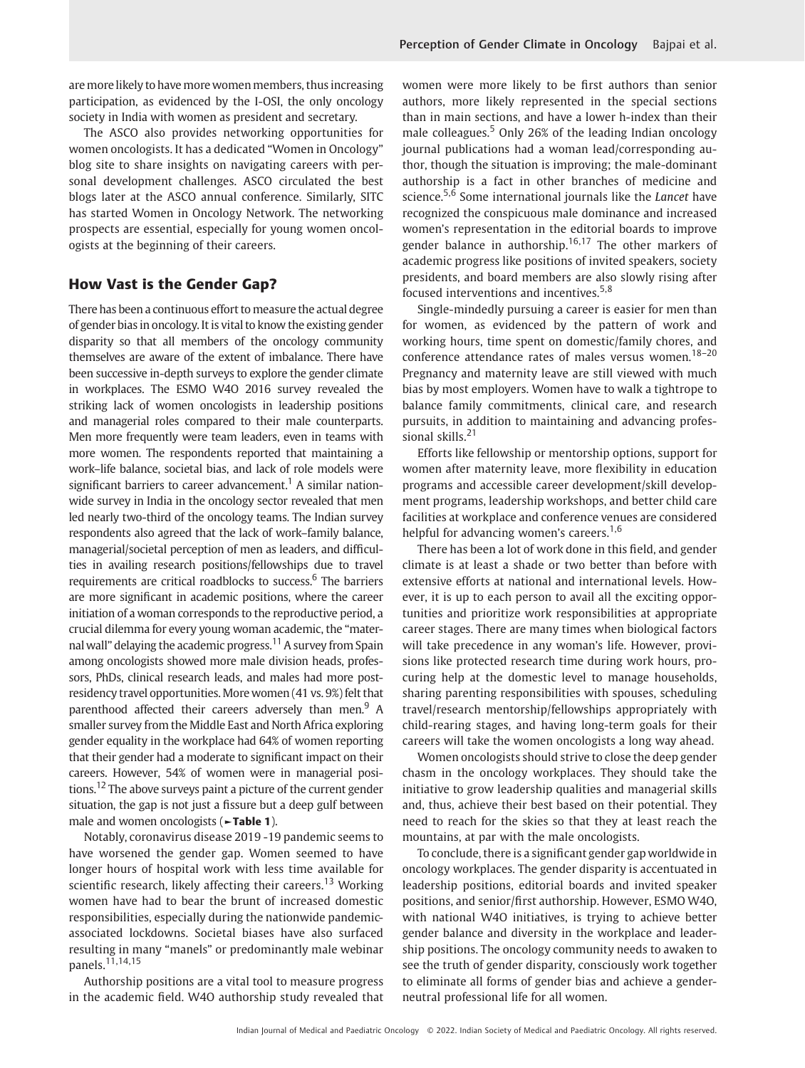are more likely to have more women members, thus increasing participation, as evidenced by the I-OSI, the only oncology society in India with women as president and secretary.

The ASCO also provides networking opportunities for women oncologists. It has a dedicated "Women in Oncology" blog site to share insights on navigating careers with personal development challenges. ASCO circulated the best blogs later at the ASCO annual conference. Similarly, SITC has started Women in Oncology Network. The networking prospects are essential, especially for young women oncologists at the beginning of their careers.

# How Vast is the Gender Gap?

There has been a continuous effort to measure the actual degree of gender bias in oncology. It is vital to know the existing gender disparity so that all members of the oncology community themselves are aware of the extent of imbalance. There have been successive in-depth surveys to explore the gender climate in workplaces. The ESMO W4O 2016 survey revealed the striking lack of women oncologists in leadership positions and managerial roles compared to their male counterparts. Men more frequently were team leaders, even in teams with more women. The respondents reported that maintaining a work–life balance, societal bias, and lack of role models were significant barriers to career advancement.<sup>1</sup> A similar nationwide survey in India in the oncology sector revealed that men led nearly two-third of the oncology teams. The Indian survey respondents also agreed that the lack of work–family balance, managerial/societal perception of men as leaders, and difficulties in availing research positions/fellowships due to travel requirements are critical roadblocks to success. $6$  The barriers are more significant in academic positions, where the career initiation of a woman corresponds to the reproductive period, a crucial dilemma for every young woman academic, the "maternal wall" delaying the academic progress.<sup>11</sup> A survey from Spain among oncologists showed more male division heads, professors, PhDs, clinical research leads, and males had more postresidency travel opportunities. More women (41 vs. 9%) felt that parenthood affected their careers adversely than men.<sup>9</sup> A smaller survey from the Middle East and North Africa exploring gender equality in the workplace had 64% of women reporting that their gender had a moderate to significant impact on their careers. However, 54% of women were in managerial positions.<sup>12</sup> The above surveys paint a picture of the current gender situation, the gap is not just a fissure but a deep gulf between male and women oncologists (►Table 1).

Notably, coronavirus disease 2019 -19 pandemic seems to have worsened the gender gap. Women seemed to have longer hours of hospital work with less time available for scientific research, likely affecting their careers.<sup>13</sup> Working women have had to bear the brunt of increased domestic responsibilities, especially during the nationwide pandemicassociated lockdowns. Societal biases have also surfaced resulting in many "manels" or predominantly male webinar panels.11,14,15

Authorship positions are a vital tool to measure progress in the academic field. W4O authorship study revealed that women were more likely to be first authors than senior authors, more likely represented in the special sections than in main sections, and have a lower h-index than their male colleagues.<sup>5</sup> Only 26% of the leading Indian oncology journal publications had a woman lead/corresponding author, though the situation is improving; the male-dominant authorship is a fact in other branches of medicine and science.<sup>5,6</sup> Some international journals like the Lancet have recognized the conspicuous male dominance and increased women's representation in the editorial boards to improve gender balance in authorship.<sup>16,17</sup> The other markers of academic progress like positions of invited speakers, society presidents, and board members are also slowly rising after focused interventions and incentives.<sup>5,8</sup>

Single-mindedly pursuing a career is easier for men than for women, as evidenced by the pattern of work and working hours, time spent on domestic/family chores, and conference attendance rates of males versus women.<sup>18-20</sup> Pregnancy and maternity leave are still viewed with much bias by most employers. Women have to walk a tightrope to balance family commitments, clinical care, and research pursuits, in addition to maintaining and advancing professional skills.<sup>21</sup>

Efforts like fellowship or mentorship options, support for women after maternity leave, more flexibility in education programs and accessible career development/skill development programs, leadership workshops, and better child care facilities at workplace and conference venues are considered helpful for advancing women's careers.<sup>1,6</sup>

There has been a lot of work done in this field, and gender climate is at least a shade or two better than before with extensive efforts at national and international levels. However, it is up to each person to avail all the exciting opportunities and prioritize work responsibilities at appropriate career stages. There are many times when biological factors will take precedence in any woman's life. However, provisions like protected research time during work hours, procuring help at the domestic level to manage households, sharing parenting responsibilities with spouses, scheduling travel/research mentorship/fellowships appropriately with child-rearing stages, and having long-term goals for their careers will take the women oncologists a long way ahead.

Women oncologists should strive to close the deep gender chasm in the oncology workplaces. They should take the initiative to grow leadership qualities and managerial skills and, thus, achieve their best based on their potential. They need to reach for the skies so that they at least reach the mountains, at par with the male oncologists.

To conclude, there is a significant gender gap worldwide in oncology workplaces. The gender disparity is accentuated in leadership positions, editorial boards and invited speaker positions, and senior/first authorship. However, ESMO W4O, with national W4O initiatives, is trying to achieve better gender balance and diversity in the workplace and leadership positions. The oncology community needs to awaken to see the truth of gender disparity, consciously work together to eliminate all forms of gender bias and achieve a genderneutral professional life for all women.